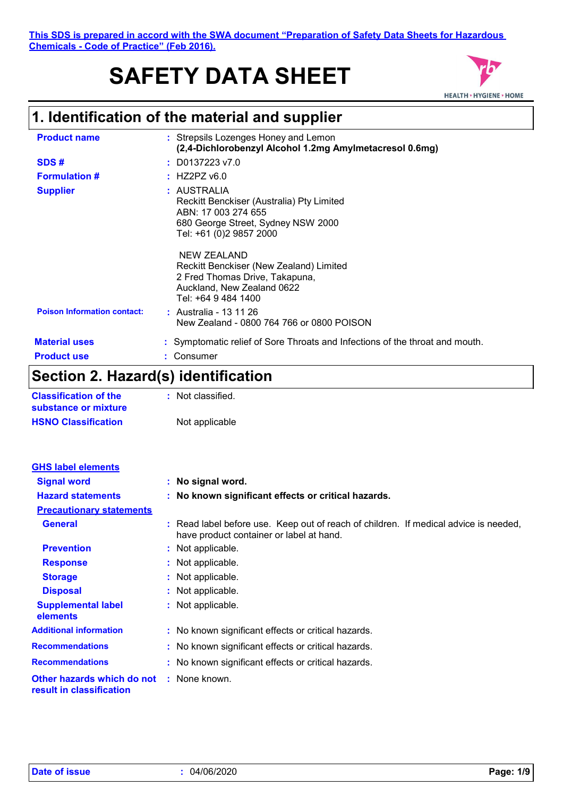# **SAFETY DATA SHEET**



## **1. Identification of the material and supplier**

| <b>Product name</b>                | : Strepsils Lozenges Honey and Lemon<br>(2,4-Dichlorobenzyl Alcohol 1.2mg Amylmetacresol 0.6mg)                                                  |
|------------------------------------|--------------------------------------------------------------------------------------------------------------------------------------------------|
| SDS#                               | $:$ D0137223 v7.0                                                                                                                                |
| <b>Formulation #</b>               | $:$ HZ2PZ v6.0                                                                                                                                   |
| <b>Supplier</b>                    | : AUSTRALIA<br>Reckitt Benckiser (Australia) Pty Limited<br>ABN: 17 003 274 655<br>680 George Street, Sydney NSW 2000<br>Tel: +61 (0)2 9857 2000 |
|                                    | NEW ZEALAND<br>Reckitt Benckiser (New Zealand) Limited<br>2 Fred Thomas Drive, Takapuna,<br>Auckland, New Zealand 0622<br>Tel: +64 9 484 1400    |
| <b>Poison Information contact:</b> | : Australia - 13 11 26<br>New Zealand - 0800 764 766 or 0800 POISON                                                                              |
| <b>Material uses</b>               | : Symptomatic relief of Sore Throats and Infections of the throat and mouth.                                                                     |
| <b>Product use</b>                 | Consumer                                                                                                                                         |

## **Section 2. Hazard(s) identification**

| <b>Classification of the</b> | : Not classified. |
|------------------------------|-------------------|
| substance or mixture         |                   |
| <b>HSNO Classification</b>   | Not applicable    |

| <b>GHS label elements</b>                              |                                                                                                                                  |
|--------------------------------------------------------|----------------------------------------------------------------------------------------------------------------------------------|
| <b>Signal word</b>                                     | : No signal word.                                                                                                                |
| <b>Hazard statements</b>                               | : No known significant effects or critical hazards.                                                                              |
| <b>Precautionary statements</b>                        |                                                                                                                                  |
| <b>General</b>                                         | : Read label before use. Keep out of reach of children. If medical advice is needed,<br>have product container or label at hand. |
| <b>Prevention</b>                                      | : Not applicable.                                                                                                                |
| <b>Response</b>                                        | : Not applicable.                                                                                                                |
| <b>Storage</b>                                         | : Not applicable.                                                                                                                |
| <b>Disposal</b>                                        | : Not applicable.                                                                                                                |
| <b>Supplemental label</b><br>elements                  | : Not applicable.                                                                                                                |
| <b>Additional information</b>                          | : No known significant effects or critical hazards.                                                                              |
| <b>Recommendations</b>                                 | : No known significant effects or critical hazards.                                                                              |
| <b>Recommendations</b>                                 | : No known significant effects or critical hazards.                                                                              |
| Other hazards which do not<br>result in classification | : None known.                                                                                                                    |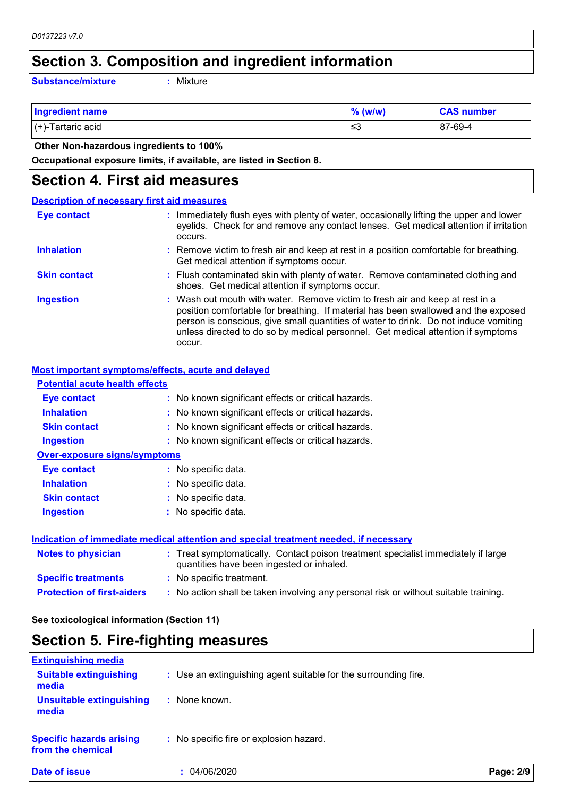### **Section 3. Composition and ingredient information**

**Substance/mixture :**

Mixture

| <b>Ingredient name</b>    | $\%$ (w/w) | <b>CAS number</b> |
|---------------------------|------------|-------------------|
| $\vert$ (+)-Tartaric acid | ו≥ ≥       | 87-69-4           |

 **Other Non-hazardous ingredients to 100%**

**Occupational exposure limits, if available, are listed in Section 8.**

### **Section 4. First aid measures**

#### Wash out mouth with water. Remove victim to fresh air and keep at rest in a position comfortable for breathing. If material has been swallowed and the exposed person is conscious, give small quantities of water to drink. Do not induce vomiting unless directed to do so by medical personnel. Get medical attention if symptoms occur. **:** Immediately flush eyes with plenty of water, occasionally lifting the upper and lower eyelids. Check for and remove any contact lenses. Get medical attention if irritation occurs. Flush contaminated skin with plenty of water. Remove contaminated clothing and **:** shoes. Get medical attention if symptoms occur. Remove victim to fresh air and keep at rest in a position comfortable for breathing. **:** Get medical attention if symptoms occur. **Eye contact Skin contact Inhalation Ingestion : Description of necessary first aid measures**

### **Most important symptoms/effects, acute and delayed**

| <b>Potential acute health effects</b> |                                                                                                                                |
|---------------------------------------|--------------------------------------------------------------------------------------------------------------------------------|
| Eye contact                           | : No known significant effects or critical hazards.                                                                            |
| <b>Inhalation</b>                     | : No known significant effects or critical hazards.                                                                            |
| <b>Skin contact</b>                   | : No known significant effects or critical hazards.                                                                            |
| <b>Ingestion</b>                      | : No known significant effects or critical hazards.                                                                            |
| <b>Over-exposure signs/symptoms</b>   |                                                                                                                                |
| Eye contact                           | : No specific data.                                                                                                            |
| <b>Inhalation</b>                     | : No specific data.                                                                                                            |
| <b>Skin contact</b>                   | : No specific data.                                                                                                            |
| <b>Ingestion</b>                      | : No specific data.                                                                                                            |
|                                       | Indication of immediate medical attention and special treatment needed, if necessary                                           |
| <b>Notes to physician</b>             | : Treat symptomatically. Contact poison treatment specialist immediately if large<br>quantities have been ingested or inhaled. |
| <b>Specific treatments</b>            | : No specific treatment.                                                                                                       |
| <b>Protection of first-aiders</b>     | : No action shall be taken involving any personal risk or without suitable training.                                           |

### **See toxicological information (Section 11)**

## **Section 5. Fire-fighting measures**

| <b>Extinguishing media</b>                           |                                                                 |           |
|------------------------------------------------------|-----------------------------------------------------------------|-----------|
| <b>Suitable extinguishing</b><br>media               | : Use an extinguishing agent suitable for the surrounding fire. |           |
| <b>Unsuitable extinguishing</b><br>media             | None known.                                                     |           |
| <b>Specific hazards arising</b><br>from the chemical | : No specific fire or explosion hazard.                         |           |
| Date of issue                                        | 04/06/2020                                                      | Page: 2/9 |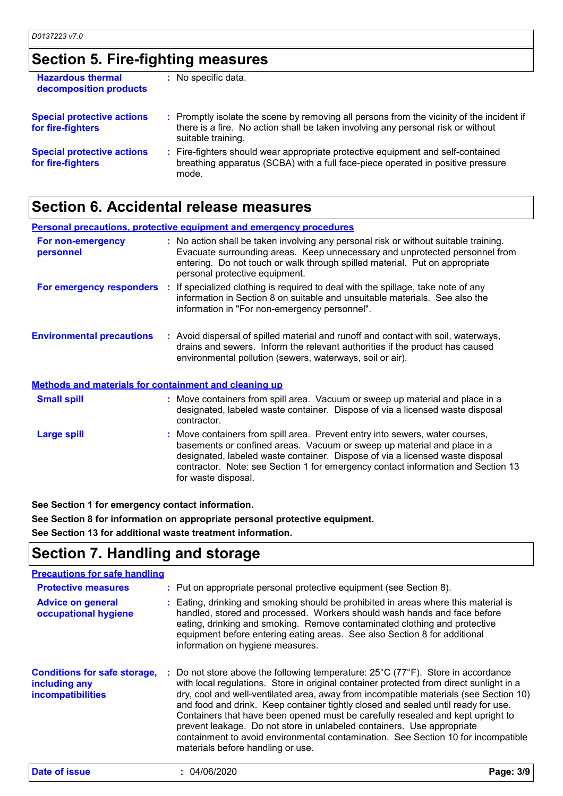## **Section 5. Fire-fighting measures**

| <b>Hazardous thermal</b><br>decomposition products     | : No specific data.                                                                                                                                                                                 |
|--------------------------------------------------------|-----------------------------------------------------------------------------------------------------------------------------------------------------------------------------------------------------|
| <b>Special protective actions</b><br>for fire-fighters | : Promptly isolate the scene by removing all persons from the vicinity of the incident if<br>there is a fire. No action shall be taken involving any personal risk or without<br>suitable training. |
| <b>Special protective actions</b><br>for fire-fighters | : Fire-fighters should wear appropriate protective equipment and self-contained<br>breathing apparatus (SCBA) with a full face-piece operated in positive pressure<br>mode.                         |

## **Section 6. Accidental release measures**

|                                                              | <b>Personal precautions, protective equipment and emergency procedures</b>                                                                                                                                                                                                                                                                          |
|--------------------------------------------------------------|-----------------------------------------------------------------------------------------------------------------------------------------------------------------------------------------------------------------------------------------------------------------------------------------------------------------------------------------------------|
| For non-emergency<br>personnel                               | : No action shall be taken involving any personal risk or without suitable training.<br>Evacuate surrounding areas. Keep unnecessary and unprotected personnel from<br>entering. Do not touch or walk through spilled material. Put on appropriate<br>personal protective equipment.                                                                |
|                                                              | For emergency responders : If specialized clothing is required to deal with the spillage, take note of any<br>information in Section 8 on suitable and unsuitable materials. See also the<br>information in "For non-emergency personnel".                                                                                                          |
| <b>Environmental precautions</b>                             | : Avoid dispersal of spilled material and runoff and contact with soil, waterways,<br>drains and sewers. Inform the relevant authorities if the product has caused<br>environmental pollution (sewers, waterways, soil or air).                                                                                                                     |
| <b>Methods and materials for containment and cleaning up</b> |                                                                                                                                                                                                                                                                                                                                                     |
| <b>Small spill</b>                                           | : Move containers from spill area. Vacuum or sweep up material and place in a<br>designated, labeled waste container. Dispose of via a licensed waste disposal<br>contractor.                                                                                                                                                                       |
| <b>Large spill</b>                                           | : Move containers from spill area. Prevent entry into sewers, water courses,<br>basements or confined areas. Vacuum or sweep up material and place in a<br>designated, labeled waste container. Dispose of via a licensed waste disposal<br>contractor. Note: see Section 1 for emergency contact information and Section 13<br>for waste disposal. |

**See Section 1 for emergency contact information.**

**See Section 8 for information on appropriate personal protective equipment.**

**See Section 13 for additional waste treatment information.**

## **Section 7. Handling and storage**

#### **Precautions for safe handling**

| <b>Protective measures</b><br><b>Advice on general</b><br>occupational hygiene | : Put on appropriate personal protective equipment (see Section 8).<br>: Eating, drinking and smoking should be prohibited in areas where this material is<br>handled, stored and processed. Workers should wash hands and face before<br>eating, drinking and smoking. Remove contaminated clothing and protective<br>equipment before entering eating areas. See also Section 8 for additional<br>information on hygiene measures.                                                                                                                                                                                                                                  |
|--------------------------------------------------------------------------------|-----------------------------------------------------------------------------------------------------------------------------------------------------------------------------------------------------------------------------------------------------------------------------------------------------------------------------------------------------------------------------------------------------------------------------------------------------------------------------------------------------------------------------------------------------------------------------------------------------------------------------------------------------------------------|
| <b>Conditions for safe storage,</b><br>including any<br>incompatibilities      | : Do not store above the following temperature: $25^{\circ}$ C ( $77^{\circ}$ F). Store in accordance<br>with local regulations. Store in original container protected from direct sunlight in a<br>dry, cool and well-ventilated area, away from incompatible materials (see Section 10)<br>and food and drink. Keep container tightly closed and sealed until ready for use.<br>Containers that have been opened must be carefully resealed and kept upright to<br>prevent leakage. Do not store in unlabeled containers. Use appropriate<br>containment to avoid environmental contamination. See Section 10 for incompatible<br>materials before handling or use. |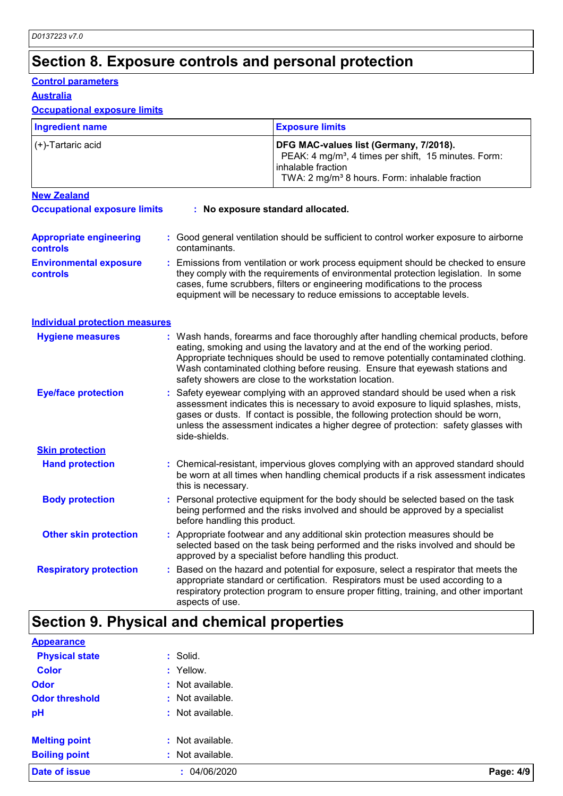## **Section 8. Exposure controls and personal protection**

### **Control parameters**

**Australia**

### **Occupational exposure limits**

| <b>Ingredient name</b>                            |  | <b>Exposure limits</b>                                                                                                                                                                                                                                                                                                                                                                            |  |
|---------------------------------------------------|--|---------------------------------------------------------------------------------------------------------------------------------------------------------------------------------------------------------------------------------------------------------------------------------------------------------------------------------------------------------------------------------------------------|--|
| (+)-Tartaric acid                                 |  | DFG MAC-values list (Germany, 7/2018).<br>PEAK: 4 mg/m <sup>3</sup> , 4 times per shift, 15 minutes. Form:<br>inhalable fraction<br>TWA: 2 mg/m <sup>3</sup> 8 hours. Form: inhalable fraction                                                                                                                                                                                                    |  |
| <b>New Zealand</b>                                |  |                                                                                                                                                                                                                                                                                                                                                                                                   |  |
| <b>Occupational exposure limits</b>               |  | : No exposure standard allocated.                                                                                                                                                                                                                                                                                                                                                                 |  |
| <b>Appropriate engineering</b><br><b>controls</b> |  | : Good general ventilation should be sufficient to control worker exposure to airborne<br>contaminants.                                                                                                                                                                                                                                                                                           |  |
| <b>Environmental exposure</b><br><b>controls</b>  |  | Emissions from ventilation or work process equipment should be checked to ensure<br>they comply with the requirements of environmental protection legislation. In some<br>cases, fume scrubbers, filters or engineering modifications to the process<br>equipment will be necessary to reduce emissions to acceptable levels.                                                                     |  |
| <b>Individual protection measures</b>             |  |                                                                                                                                                                                                                                                                                                                                                                                                   |  |
| <b>Hygiene measures</b>                           |  | : Wash hands, forearms and face thoroughly after handling chemical products, before<br>eating, smoking and using the lavatory and at the end of the working period.<br>Appropriate techniques should be used to remove potentially contaminated clothing.<br>Wash contaminated clothing before reusing. Ensure that eyewash stations and<br>safety showers are close to the workstation location. |  |
| <b>Eye/face protection</b>                        |  | : Safety eyewear complying with an approved standard should be used when a risk<br>assessment indicates this is necessary to avoid exposure to liquid splashes, mists,<br>gases or dusts. If contact is possible, the following protection should be worn,<br>unless the assessment indicates a higher degree of protection: safety glasses with<br>side-shields.                                 |  |
| <b>Skin protection</b>                            |  |                                                                                                                                                                                                                                                                                                                                                                                                   |  |
| <b>Hand protection</b>                            |  | : Chemical-resistant, impervious gloves complying with an approved standard should<br>be worn at all times when handling chemical products if a risk assessment indicates<br>this is necessary.                                                                                                                                                                                                   |  |
| <b>Body protection</b>                            |  | : Personal protective equipment for the body should be selected based on the task<br>being performed and the risks involved and should be approved by a specialist<br>before handling this product.                                                                                                                                                                                               |  |
| <b>Other skin protection</b>                      |  | : Appropriate footwear and any additional skin protection measures should be<br>selected based on the task being performed and the risks involved and should be<br>approved by a specialist before handling this product.                                                                                                                                                                         |  |
| <b>Respiratory protection</b>                     |  | Based on the hazard and potential for exposure, select a respirator that meets the<br>appropriate standard or certification. Respirators must be used according to a<br>respiratory protection program to ensure proper fitting, training, and other important<br>aspects of use.                                                                                                                 |  |

## **Section 9. Physical and chemical properties**

| <b>Appearance</b>     |                  |           |
|-----------------------|------------------|-----------|
| <b>Physical state</b> | : Solid.         |           |
| <b>Color</b>          | : Yellow.        |           |
| <b>Odor</b>           | : Not available. |           |
| <b>Odor threshold</b> | : Not available. |           |
| pH                    | : Not available. |           |
| <b>Melting point</b>  | : Not available. |           |
| <b>Boiling point</b>  | : Not available. |           |
| <b>Date of issue</b>  | : 04/06/2020     | Page: 4/9 |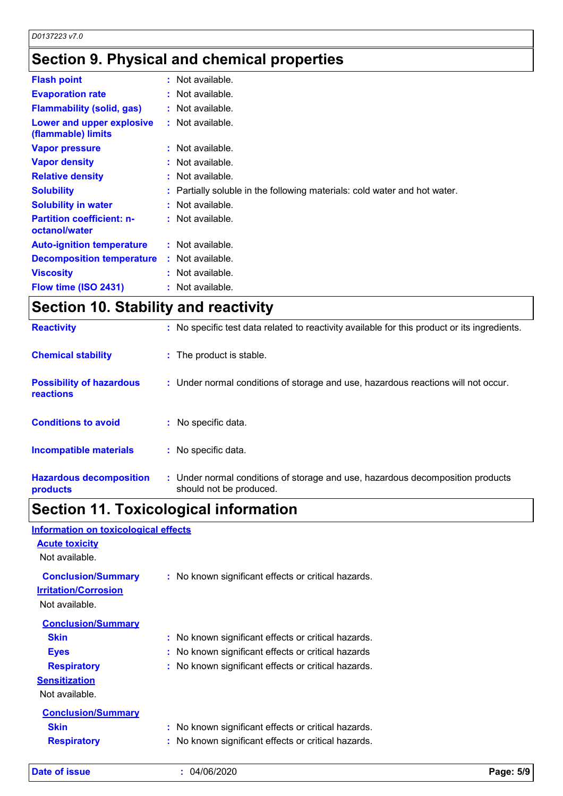## **Section 9. Physical and chemical properties**

| <b>Flash point</b>                                | $:$ Not available.                                                        |
|---------------------------------------------------|---------------------------------------------------------------------------|
| <b>Evaporation rate</b>                           | : Not available.                                                          |
| <b>Flammability (solid, gas)</b>                  | : Not available.                                                          |
| Lower and upper explosive<br>(flammable) limits   | : Not available.                                                          |
| <b>Vapor pressure</b>                             | : Not available.                                                          |
| <b>Vapor density</b>                              | : Not available.                                                          |
| <b>Relative density</b>                           | $:$ Not available.                                                        |
| <b>Solubility</b>                                 | : Partially soluble in the following materials: cold water and hot water. |
| <b>Solubility in water</b>                        | : Not available.                                                          |
| <b>Partition coefficient: n-</b><br>octanol/water | : Not available.                                                          |
| <b>Auto-ignition temperature</b>                  | : Not available.                                                          |
| <b>Decomposition temperature</b>                  | : Not available.                                                          |
| <b>Viscosity</b>                                  | : Not available.                                                          |
| Flow time (ISO 2431)                              | $:$ Not available.                                                        |

## **Section 10. Stability and reactivity**

| <b>Reactivity</b>                            | : No specific test data related to reactivity available for this product or its ingredients.              |
|----------------------------------------------|-----------------------------------------------------------------------------------------------------------|
| <b>Chemical stability</b>                    | : The product is stable.                                                                                  |
| <b>Possibility of hazardous</b><br>reactions | : Under normal conditions of storage and use, hazardous reactions will not occur.                         |
| <b>Conditions to avoid</b>                   | : No specific data.                                                                                       |
| <b>Incompatible materials</b>                | : No specific data.                                                                                       |
| <b>Hazardous decomposition</b><br>products   | : Under normal conditions of storage and use, hazardous decomposition products<br>should not be produced. |

## **Section 11. Toxicological information**

| <b>Information on toxicological effects</b> |                                                     |
|---------------------------------------------|-----------------------------------------------------|
| <b>Acute toxicity</b>                       |                                                     |
| Not available.                              |                                                     |
| <b>Conclusion/Summary</b>                   | : No known significant effects or critical hazards. |
| <b>Irritation/Corrosion</b>                 |                                                     |
| Not available.                              |                                                     |
| <b>Conclusion/Summary</b>                   |                                                     |
| <b>Skin</b>                                 | : No known significant effects or critical hazards. |
| <b>Eyes</b>                                 | : No known significant effects or critical hazards  |
| <b>Respiratory</b>                          | : No known significant effects or critical hazards. |
| <b>Sensitization</b>                        |                                                     |
| Not available.                              |                                                     |
| <b>Conclusion/Summary</b>                   |                                                     |
| <b>Skin</b>                                 | : No known significant effects or critical hazards. |
| <b>Respiratory</b>                          | : No known significant effects or critical hazards. |
|                                             |                                                     |

**Date of issue :** 04/06/2020 **Page: 5/9**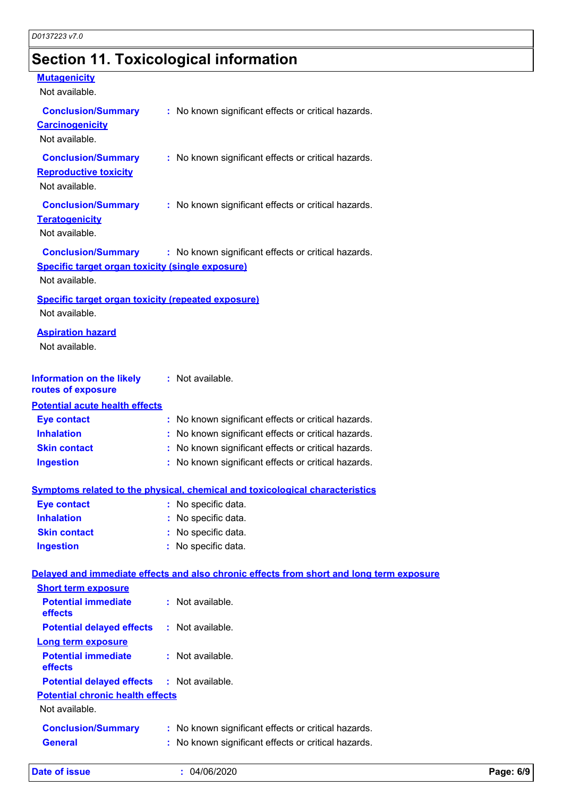## **Section 11. Toxicological information**

### **Mutagenicity**

| Not available.                                                                                  |                                                                                          |
|-------------------------------------------------------------------------------------------------|------------------------------------------------------------------------------------------|
| <b>Conclusion/Summary</b><br><b>Carcinogenicity</b><br>Not available.                           | : No known significant effects or critical hazards.                                      |
| <b>Conclusion/Summary</b><br><b>Reproductive toxicity</b><br>Not available.                     | : No known significant effects or critical hazards.                                      |
| <b>Conclusion/Summary</b><br><b>Teratogenicity</b><br>Not available.                            | : No known significant effects or critical hazards.                                      |
| <b>Conclusion/Summary</b><br>Specific target organ toxicity (single exposure)<br>Not available. | : No known significant effects or critical hazards.                                      |
| <b>Specific target organ toxicity (repeated exposure)</b><br>Not available.                     |                                                                                          |
| <b>Aspiration hazard</b><br>Not available.                                                      |                                                                                          |
| <b>Information on the likely</b><br>routes of exposure                                          | : Not available.                                                                         |
| <b>Potential acute health effects</b>                                                           |                                                                                          |
| <b>Eye contact</b>                                                                              | : No known significant effects or critical hazards.                                      |
| <b>Inhalation</b>                                                                               | No known significant effects or critical hazards.                                        |
| <b>Skin contact</b>                                                                             | : No known significant effects or critical hazards.                                      |
| <b>Ingestion</b>                                                                                | : No known significant effects or critical hazards.                                      |
|                                                                                                 | Symptoms related to the physical, chemical and toxicological characteristics             |
| <b>Eye contact</b>                                                                              | : No specific data.                                                                      |
| <b>Inhalation</b>                                                                               | No specific data.                                                                        |
| <b>Skin contact</b>                                                                             | No specific data.                                                                        |
| <b>Ingestion</b>                                                                                | : No specific data.                                                                      |
|                                                                                                 | Delayed and immediate effects and also chronic effects from short and long term exposure |
| <b>Short term exposure</b>                                                                      |                                                                                          |
| <b>Potential immediate</b><br>effects                                                           | : Not available.                                                                         |
| <b>Potential delayed effects</b>                                                                | : Not available.                                                                         |
| <b>Long term exposure</b><br><b>Potential immediate</b><br>effects                              | : Not available.                                                                         |
| <b>Potential delayed effects</b>                                                                | : Not available.                                                                         |
| <b>Potential chronic health effects</b><br>Not available.                                       |                                                                                          |
| <b>Conclusion/Summary</b>                                                                       | : No known significant effects or critical hazards.                                      |

**General :** No known significant effects or critical hazards.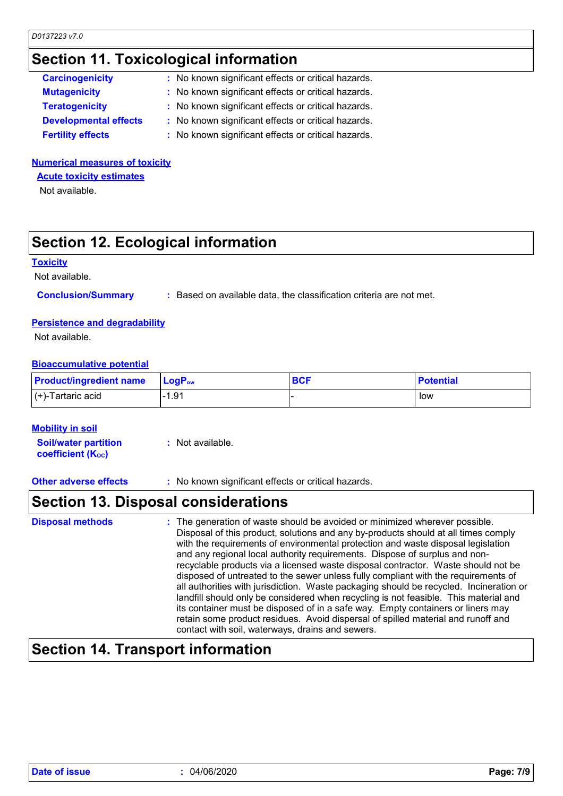## **Section 11. Toxicological information**

| <b>Carcinogenicity</b>       | : No known significant effects or critical hazards. |
|------------------------------|-----------------------------------------------------|
| <b>Mutagenicity</b>          | : No known significant effects or critical hazards. |
| <b>Teratogenicity</b>        | : No known significant effects or critical hazards. |
| <b>Developmental effects</b> | : No known significant effects or critical hazards. |
| <b>Fertility effects</b>     | : No known significant effects or critical hazards. |
|                              |                                                     |

### **Numerical measures of toxicity**

**Acute toxicity estimates**

Not available.

## **Section 12. Ecological information**

### **Toxicity**

Not available.

**Conclusion/Summary :** Based on available data, the classification criteria are not met.

### **Persistence and degradability**

Not available.

### **Bioaccumulative potential**

| <b>Product/ingredient name</b> | $\mathsf{LocP}_\mathsf{ow}$ | <b>BCF</b> | <b>Potential</b> |
|--------------------------------|-----------------------------|------------|------------------|
| $(+)$ -Tartaric acid           | l-1.91                      |            | low              |

### **Mobility in soil**

**Soil/water partition coefficient (KOC) :** Not available.

**Other adverse effects** : No known significant effects or critical hazards.

### **Section 13. Disposal considerations**

| <b>Disposal methods</b> | : The generation of waste should be avoided or minimized wherever possible.<br>Disposal of this product, solutions and any by-products should at all times comply<br>with the requirements of environmental protection and waste disposal legislation<br>and any regional local authority requirements. Dispose of surplus and non-<br>recyclable products via a licensed waste disposal contractor. Waste should not be<br>disposed of untreated to the sewer unless fully compliant with the requirements of<br>all authorities with jurisdiction. Waste packaging should be recycled. Incineration or<br>landfill should only be considered when recycling is not feasible. This material and<br>its container must be disposed of in a safe way. Empty containers or liners may<br>retain some product residues. Avoid dispersal of spilled material and runoff and |
|-------------------------|-------------------------------------------------------------------------------------------------------------------------------------------------------------------------------------------------------------------------------------------------------------------------------------------------------------------------------------------------------------------------------------------------------------------------------------------------------------------------------------------------------------------------------------------------------------------------------------------------------------------------------------------------------------------------------------------------------------------------------------------------------------------------------------------------------------------------------------------------------------------------|
|                         | contact with soil, waterways, drains and sewers.                                                                                                                                                                                                                                                                                                                                                                                                                                                                                                                                                                                                                                                                                                                                                                                                                        |

## **Section 14. Transport information**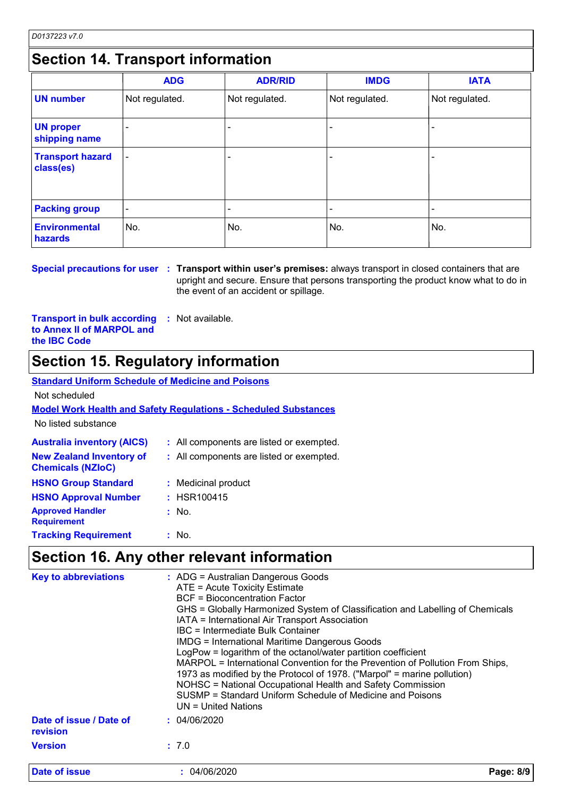## **Section 14. Transport information**

|                                      | <b>ADG</b>               | <b>ADR/RID</b> | <b>IMDG</b>    | <b>IATA</b>    |
|--------------------------------------|--------------------------|----------------|----------------|----------------|
| <b>UN number</b>                     | Not regulated.           | Not regulated. | Not regulated. | Not regulated. |
| <b>UN proper</b><br>shipping name    |                          |                |                |                |
| <b>Transport hazard</b><br>class(es) | $\overline{\phantom{a}}$ |                | ۰              | $\blacksquare$ |
| <b>Packing group</b>                 |                          |                |                |                |
| <b>Environmental</b><br>hazards      | No.                      | No.            | No.            | No.            |

**Special precautions for user Transport within user's premises:** always transport in closed containers that are **:** upright and secure. Ensure that persons transporting the product know what to do in the event of an accident or spillage.

**Transport in bulk according to Annex II of MARPOL and the IBC Code :** Not available.

## **Section 15. Regulatory information**

### **Standard Uniform Schedule of Medicine and Poisons**

Not scheduled

### **Model Work Health and Safety Regulations - Scheduled Substances**

No listed substance

| <b>Australia inventory (AICS)</b>                           |       | : All components are listed or exempted. |
|-------------------------------------------------------------|-------|------------------------------------------|
| <b>New Zealand Inventory of</b><br><b>Chemicals (NZIoC)</b> |       | : All components are listed or exempted. |
| <b>HSNO Group Standard</b>                                  |       | : Medicinal product                      |
| <b>HSNO Approval Number</b>                                 |       | : HSR100415                              |
| <b>Approved Handler</b><br><b>Requirement</b>               | : No. |                                          |
| <b>Tracking Requirement</b>                                 | : No. |                                          |

## **Section 16. Any other relevant information**

| <b>Key to abbreviations</b>         | : ADG = Australian Dangerous Goods<br>ATE = Acute Toxicity Estimate<br>BCF = Bioconcentration Factor<br>GHS = Globally Harmonized System of Classification and Labelling of Chemicals<br>IATA = International Air Transport Association<br>IBC = Intermediate Bulk Container<br><b>IMDG = International Maritime Dangerous Goods</b><br>LogPow = logarithm of the octanol/water partition coefficient<br>MARPOL = International Convention for the Prevention of Pollution From Ships,<br>1973 as modified by the Protocol of 1978. ("Marpol" = marine pollution)<br>NOHSC = National Occupational Health and Safety Commission<br>SUSMP = Standard Uniform Schedule of Medicine and Poisons<br>UN = United Nations |
|-------------------------------------|---------------------------------------------------------------------------------------------------------------------------------------------------------------------------------------------------------------------------------------------------------------------------------------------------------------------------------------------------------------------------------------------------------------------------------------------------------------------------------------------------------------------------------------------------------------------------------------------------------------------------------------------------------------------------------------------------------------------|
| Date of issue / Date of<br>revision | : 04/06/2020                                                                                                                                                                                                                                                                                                                                                                                                                                                                                                                                                                                                                                                                                                        |
| <b>Version</b>                      | : 7.0                                                                                                                                                                                                                                                                                                                                                                                                                                                                                                                                                                                                                                                                                                               |
| <b>Date of issue</b>                | Page: 8/9<br>: 04/06/2020                                                                                                                                                                                                                                                                                                                                                                                                                                                                                                                                                                                                                                                                                           |